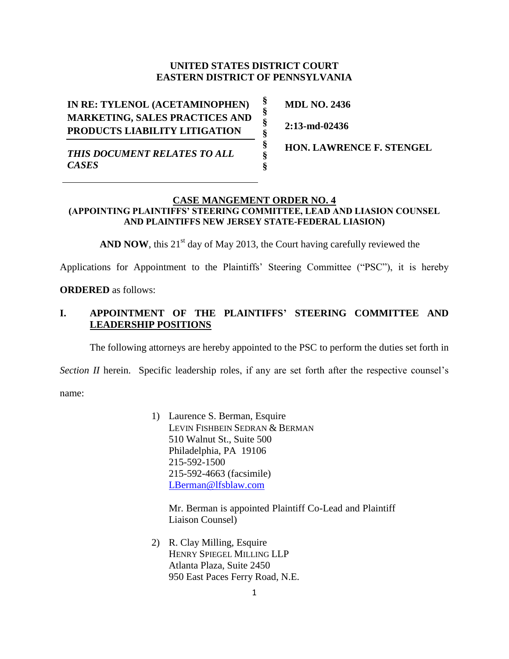### **UNITED STATES DISTRICT COURT EASTERN DISTRICT OF PENNSYLVANIA**

**§ § § § § § §**

**IN RE: TYLENOL (ACETAMINOPHEN) MARKETING, SALES PRACTICES AND PRODUCTS LIABILITY LITIGATION**

**MDL NO. 2436**

**2:13-md-02436**

*THIS DOCUMENT RELATES TO ALL CASES*

**HON. LAWRENCE F. STENGEL**

# **CASE MANGEMENT ORDER NO. 4**

### **(APPOINTING PLAINTIFFS' STEERING COMMITTEE, LEAD AND LIASION COUNSEL AND PLAINTIFFS NEW JERSEY STATE-FEDERAL LIASION)**

**AND NOW**, this 21<sup>st</sup> day of May 2013, the Court having carefully reviewed the

Applications for Appointment to the Plaintiffs' Steering Committee ("PSC"), it is hereby

**ORDERED** as follows:

## **I. APPOINTMENT OF THE PLAINTIFFS' STEERING COMMITTEE AND LEADERSHIP POSITIONS**

The following attorneys are hereby appointed to the PSC to perform the duties set forth in

*Section II* herein. Specific leadership roles, if any are set forth after the respective counsel's

name:

1) Laurence S. Berman, Esquire LEVIN FISHBEIN SEDRAN & BERMAN 510 Walnut St., Suite 500 Philadelphia, PA 19106 215-592-1500 215-592-4663 (facsimile) [LBerman@lfsblaw.com](mailto:LBerman@lfsblaw.com)

Mr. Berman is appointed Plaintiff Co-Lead and Plaintiff Liaison Counsel)

2) R. Clay Milling, Esquire HENRY SPIEGEL MILLING LLP Atlanta Plaza, Suite 2450 950 East Paces Ferry Road, N.E.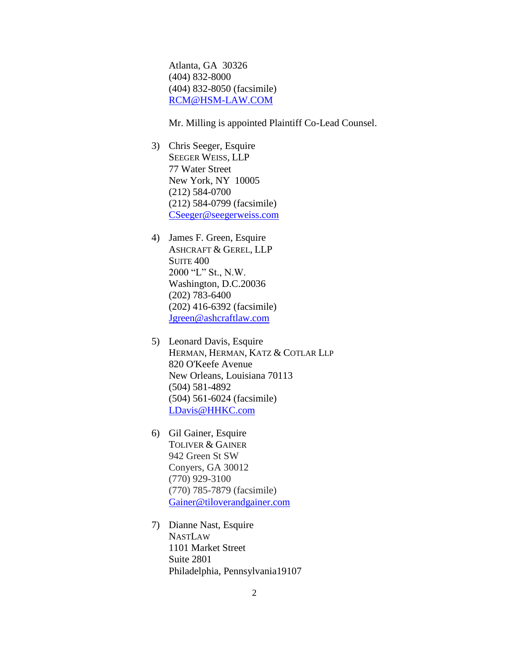Atlanta, GA 30326 (404) 832-8000 (404) 832-8050 (facsimile) [RCM@HSM-LAW.COM](mailto:RCM@HSM-LAW.COM)

Mr. Milling is appointed Plaintiff Co-Lead Counsel.

- 3) Chris Seeger, Esquire SEEGER WEISS, LLP 77 Water Street New York, NY 10005 (212) 584-0700 (212) 584-0799 (facsimile) [CSeeger@seegerweiss.com](mailto:CSeeger@seegerweiss.com)
- 4) James F. Green, Esquire ASHCRAFT & GEREL, LLP SUITE 400 2000 "L" St., N.W. Washington, D.C.20036 (202) 783-6400 (202) 416-6392 (facsimile) [Jgreen@ashcraftlaw.com](mailto:Jgreen@ashcraftlaw.com)
- 5) Leonard Davis, Esquire HERMAN, HERMAN, KATZ & COTLAR LLP 820 O'Keefe Avenue New Orleans, Louisiana 70113 (504) 581-4892 (504) 561-6024 (facsimile) [LDavis@HHKC.com](mailto:LDavis@HHKC.com)
- 6) Gil Gainer, Esquire TOLIVER & GAINER 942 Green St SW Conyers, GA 30012 (770) 929-3100 (770) 785-7879 (facsimile) [Gainer@tiloverandgainer.com](mailto:Gainer@tiloverandgainer.com)
- 7) Dianne Nast, Esquire NASTLAW 1101 Market Street Suite 2801 Philadelphia, Pennsylvania19107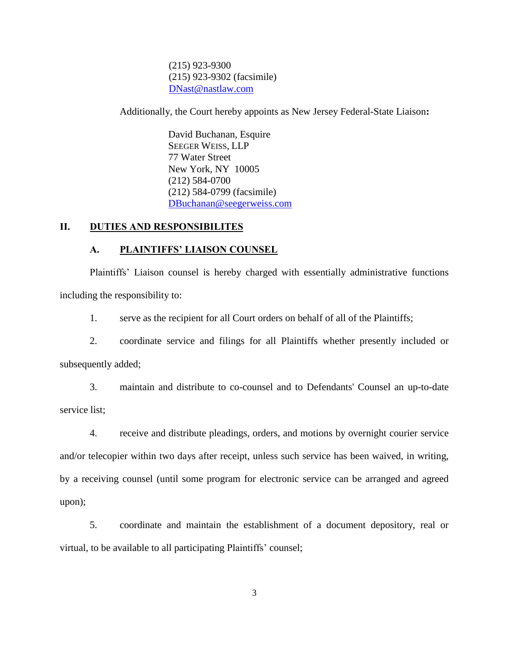(215) 923-9300 (215) 923-9302 (facsimile) [DNast@nastlaw.com](mailto:DNast@nastlaw.com)

Additionally, the Court hereby appoints as New Jersey Federal-State Liaison**:** 

David Buchanan, Esquire SEEGER WEISS, LLP 77 Water Street New York, NY 10005 (212) 584-0700 (212) 584-0799 (facsimile) [DBuchanan@seegerweiss.com](mailto:DBuchanan@seegerweiss.com)

### **II. DUTIES AND RESPONSIBILITES**

#### **A. PLAINTIFFS' LIAISON COUNSEL**

Plaintiffs' Liaison counsel is hereby charged with essentially administrative functions including the responsibility to:

1. serve as the recipient for all Court orders on behalf of all of the Plaintiffs;

2. coordinate service and filings for all Plaintiffs whether presently included or subsequently added;

3. maintain and distribute to co-counsel and to Defendants' Counsel an up-to-date service list;

4. receive and distribute pleadings, orders, and motions by overnight courier service and/or telecopier within two days after receipt, unless such service has been waived, in writing, by a receiving counsel (until some program for electronic service can be arranged and agreed upon);

5. coordinate and maintain the establishment of a document depository, real or virtual, to be available to all participating Plaintiffs' counsel;

3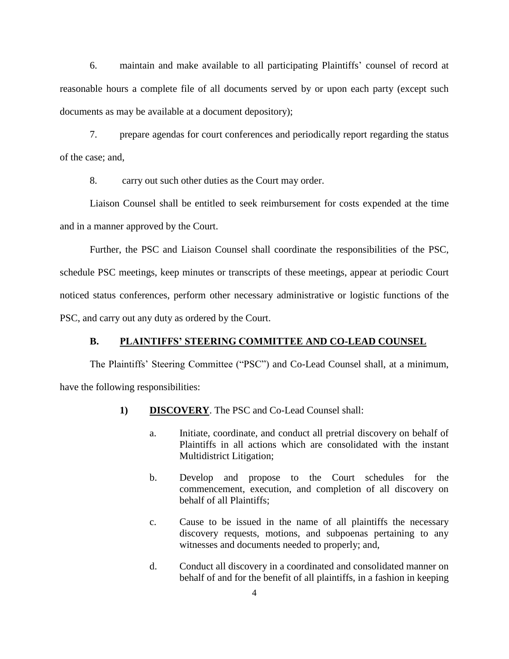6. maintain and make available to all participating Plaintiffs' counsel of record at reasonable hours a complete file of all documents served by or upon each party (except such documents as may be available at a document depository);

7. prepare agendas for court conferences and periodically report regarding the status of the case; and,

8. carry out such other duties as the Court may order.

Liaison Counsel shall be entitled to seek reimbursement for costs expended at the time and in a manner approved by the Court.

Further, the PSC and Liaison Counsel shall coordinate the responsibilities of the PSC, schedule PSC meetings, keep minutes or transcripts of these meetings, appear at periodic Court noticed status conferences, perform other necessary administrative or logistic functions of the PSC, and carry out any duty as ordered by the Court.

#### **B. PLAINTIFFS' STEERING COMMITTEE AND CO-LEAD COUNSEL**

The Plaintiffs' Steering Committee ("PSC") and Co-Lead Counsel shall, at a minimum, have the following responsibilities:

- **1) DISCOVERY**. The PSC and Co-Lead Counsel shall:
	- a. Initiate, coordinate, and conduct all pretrial discovery on behalf of Plaintiffs in all actions which are consolidated with the instant Multidistrict Litigation;
	- b. Develop and propose to the Court schedules for the commencement, execution, and completion of all discovery on behalf of all Plaintiffs;
	- c. Cause to be issued in the name of all plaintiffs the necessary discovery requests, motions, and subpoenas pertaining to any witnesses and documents needed to properly; and,
	- d. Conduct all discovery in a coordinated and consolidated manner on behalf of and for the benefit of all plaintiffs, in a fashion in keeping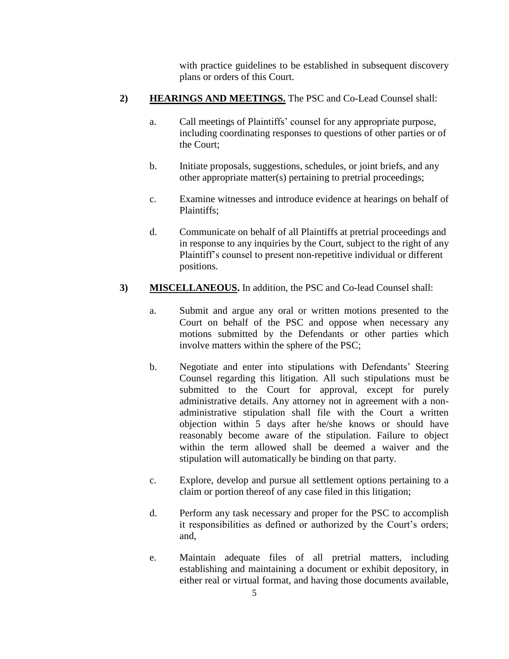with practice guidelines to be established in subsequent discovery plans or orders of this Court.

## **2) HEARINGS AND MEETINGS.** The PSC and Co-Lead Counsel shall:

- a. Call meetings of Plaintiffs' counsel for any appropriate purpose, including coordinating responses to questions of other parties or of the Court;
- b. Initiate proposals, suggestions, schedules, or joint briefs, and any other appropriate matter(s) pertaining to pretrial proceedings;
- c. Examine witnesses and introduce evidence at hearings on behalf of Plaintiffs;
- d. Communicate on behalf of all Plaintiffs at pretrial proceedings and in response to any inquiries by the Court, subject to the right of any Plaintiff's counsel to present non-repetitive individual or different positions.
- **3) MISCELLANEOUS.** In addition, the PSC and Co-lead Counsel shall:
	- a. Submit and argue any oral or written motions presented to the Court on behalf of the PSC and oppose when necessary any motions submitted by the Defendants or other parties which involve matters within the sphere of the PSC;
	- b. Negotiate and enter into stipulations with Defendants' Steering Counsel regarding this litigation. All such stipulations must be submitted to the Court for approval, except for purely administrative details. Any attorney not in agreement with a nonadministrative stipulation shall file with the Court a written objection within 5 days after he/she knows or should have reasonably become aware of the stipulation. Failure to object within the term allowed shall be deemed a waiver and the stipulation will automatically be binding on that party.
	- c. Explore, develop and pursue all settlement options pertaining to a claim or portion thereof of any case filed in this litigation;
	- d. Perform any task necessary and proper for the PSC to accomplish it responsibilities as defined or authorized by the Court's orders; and,
	- e. Maintain adequate files of all pretrial matters, including establishing and maintaining a document or exhibit depository, in either real or virtual format, and having those documents available,